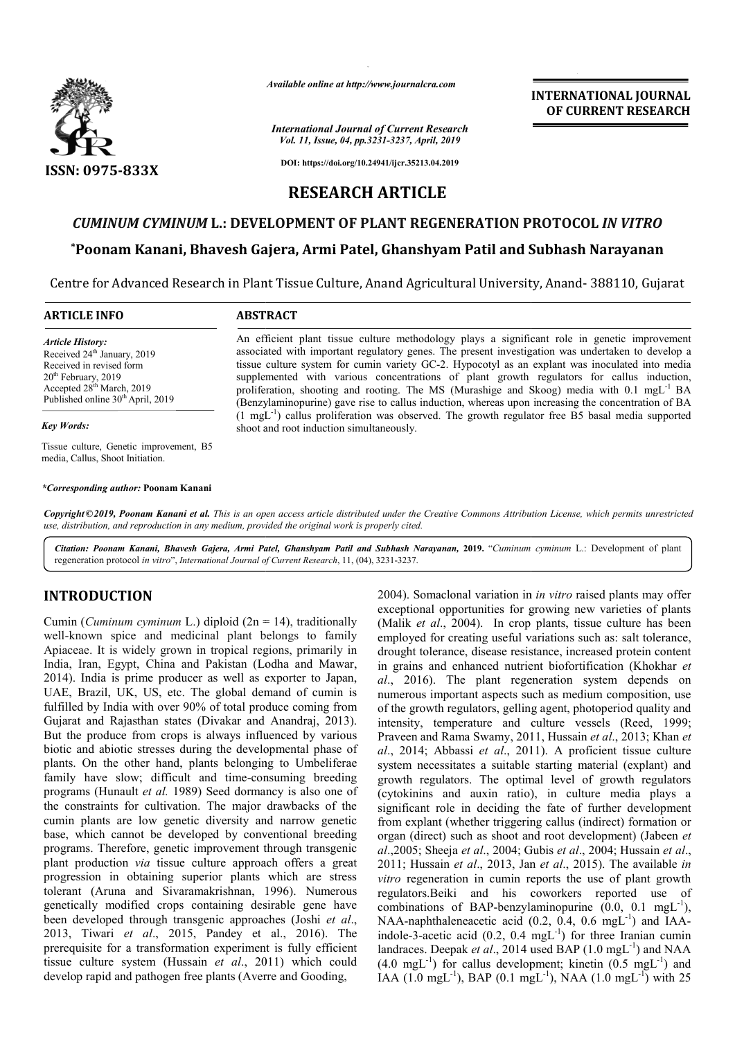

*Available online at http://www.journalcra.com*

#### *International Journal of Current Research Vol. 11, Issue, 04, pp.3231-3237, April, 2019*

**INTERNATIONAL JOURNAL OF CURRENT RESEARCH**

**DOI: https://doi.org/10.24941/ijcr.35213.04.2019**

# **RESEARCH ARTICLE**

# *CUMINUM CYMINUM* **L.: DEVELOPMENT OF PLANT REGENERATION PROTOCOL REGENERATION PROTOCOL** *IN VITRO*

# **\*Poonam Kanani, Bhavesh Gajera, Armi Patel, Ghanshyam Patil and Subhash Narayanan Poonam Subhash Narayanan**

Centre for Advanced Research in Plant Tissue Culture, Anand Agricultural University, Anand- 388110, Gujarat

### **ARTICLE INFO ABSTRACT**

*Article History:* Received 24<sup>th</sup> January, 2019 Received in revised form 20<sup>th</sup> February, 2019 Accepted 28th March, 2019 Published online 30<sup>th</sup> April, 2019

### *Key Words:*

Tissue culture, Genetic improvement, B5 media, Callus, Shoot Initiation.

*\*Corresponding author:* **Poonam Kanani**

An efficient plant tissue culture methodology plays a significant role in genetic improvement associated with important regulatory genes. The present investigation was undertaken to develop a An efficient plant tissue culture methodology plays a significant role in genetic improvement associated with important regulatory genes. The present investigation was undertaken to develop a tissue culture system for cumi supplemented with various concentrations of plant growth regulators for callus induction, supplemented with various concentrations of plant growth regulators for callus induction, proliferation, shooting and rooting. The MS (Murashige and Skoog) media with 0.1 mgL<sup>-1</sup> BA (Benzylaminopurine) gave rise to callus indu induction, whereas upon increasing the concentration of BA (Benzylaminopurine) gave rise to callus induction, whereas upon increasing the concentration of BA  $(1 \text{ mgL}^{-1})$  callus proliferation was observed. The growth regulator free B5 basal media supported shoot and root induction simultaneously.

Copyright©2019, Poonam Kanani et al. This is an open access article distributed under the Creative Commons Attribution License, which permits unrestrictea *use, distribution, and reproduction in any medium, provided the original work is properly cited.*

Citation: Poonam Kanani, Bhavesh Gajera, Armi Patel, Ghanshyam Patil and Subhash Narayanan, 2019. "Cuminum cyminum L.: Development of plant regeneration protocol *in vitro*", *International Journal of Current Research* , 11, (04), 3231-3237.

# **INTRODUCTION**

Cumin (*Cuminum cyminum L.*) diploid (2n = 14), traditionally well-known spice and medicinal plant belongs to family Apiaceae. It is widely grown in tropical regions, primarily in India, Iran, Egypt, China and Pakistan (Lodha and Mawar, 2014). India is prime producer as well as exporter to Japan, UAE, Brazil, UK, US, etc. The global demand of cumin is fulfilled by India with over 90% of total produce coming from Gujarat and Rajasthan states (Divakar and Anandraj, 2013). But the produce from crops is always influenced by various biotic and abiotic stresses during the developmental phase of plants. On the other hand, plants belonging to Umbeliferae family have slow; difficult and time-consuming breeding programs (Hunault *et al.* 1989) Seed dormancy is also one of the constraints for cultivation. The major drawbacks of the cumin plants are low genetic diversity and narrow genetic base, which cannot be developed by conventional breeding programs. Therefore, genetic improvement through transgenic plant production *via* tissue culture approach offers a great progression in obtaining superior plants which are stress tolerant (Aruna and Sivaramakrishnan, 1996). Numerous genetically modified crops containing desirable gene have been developed through transgenic approaches (Joshi *et al*., 2013, Tiwari *et al*., 2015, Pandey et al., 2016). The prerequisite for a transformation experiment is fully efficient tissue culture system (Hussain *et al*., 2011) which could develop rapid and pathogen free plants (Averre and Gooding, known spice and medicinal plant belongs to family<br>ceae. It is widely grown in tropical regions, primarily in<br>, Iran, Egypt, China and Pakistan (Lodha and Mawar,<br>). India is prime producer as well as exporter to Japan,<br>, Br consuming breeding<br>mancy is also one of<br>or drawbacks of the<br>and narrow genetic<br>onventional breeding<br>nt through transgenic<br>roach offers a great<br>ts which are stress<br>, 1996). Numerous **ION**<br>
2004). Somaclonal variation in<br>
2004). Somaclonal variation in<br>
2004). Somaclonal variation in<br>
(Malik *et al.*, 2004). In crop<br>
cord medicinal plant belongs to family<br>
(Malik *et al.*, 2004). In crop<br>
oridely grow

exceptional opportunities for growing new varieties of plants (Malik *et al*., 2004). In crop plants, tissue culture has been employed for creating useful variations such as: salt tolerance, drought tolerance, disease resistance, increased protein content in grains and enhanced nutrient biofortification (Khokhar et *al*., 2016). The plant regeneration system depends on al., 2016). The plant regeneration system depends on numerous important aspects such as medium composition, use of the growth regulators, gelling agent, photoperiod quality and intensity, temperature and culture vessels (Reed, 1999; Praveen and Rama Swamy, 2011, Hussain et al., 2013; Khan et al., 2014; Abbassi et al., 2011). A proficient tissue culture system necessitates a suitable starting material (explant) and growth regulators. The optimal level of growth regulators (cytokinins and auxin ratio), in culture media plays a significant role in deciding the fate of further development from explant (whether triggering callus (indirect) formation or system necessitates a suitable starting material (explant) and growth regulators. The optimal level of growth regulators (cytokinins and auxin ratio), in culture media plays a significant role in deciding the fate of furth *al*.,2005; Sheeja *et al*., 2004; Gubis ., *et al*., 2004; Hussain *et al*., 2011; Hussain *et al.*, 2013, Jan *et al.*, 2015). The available *in vitro* regeneration in cumin reports the use of plant growth regulators.Beiki and his coworkers reported use of combinations of BAP-benzylaminopurine (0.0, 0.1 mgL NAA-naphthaleneacetic acid (0.2, 0.4, 0.6 mgL indole-3-acetic acid (0.2, 0.4 mgL landraces. Deepak et al., 2014 used BAP (1.0 mgL<sup>-1</sup>) and NAA  $(4.0 \text{ mgL}^{-1})$  for callus development; kinetin  $(0.5 \text{ mgL}^{-1})$  and IAA (1.0 mgL<sup>-1</sup>), BAP (0.1 mgL<sup>-1</sup>), NAA (1.0 mgL<sup>-1</sup>) with 25 2004). Somaclonal variation in *in vitro* raised plants may offer exceptional opportunities for growing new varieties of plants (Malik *et al.*, 2004). In crop plants, tissue culture has been employed for creating useful variations such as: salt tolerance, drought tolerance, disease resi the growth regulators, gelling agent, photoperiod quality and<br>ensity, temperature and culture vessels (Reed, 1999;<br>aveen and Rama Swamy, 2011, Hussain *et al.*, 2013; Khan *et* in cumin reports the use of plant growth<br>and his coworkers reported use of<br> $BAP$ -benzylaminopurine  $(0.0, 0.1 \text{ mgL}^{-1})$ ,  $\mathcal{L}^1$ naphthaleneacetic acid  $(0.2, 0.4, 0.6 \text{ mgL}^{-1})$  and IAAacetic acid  $(0.2, 0.4 \text{ mgL}^{-1})$  for three Iranian cumin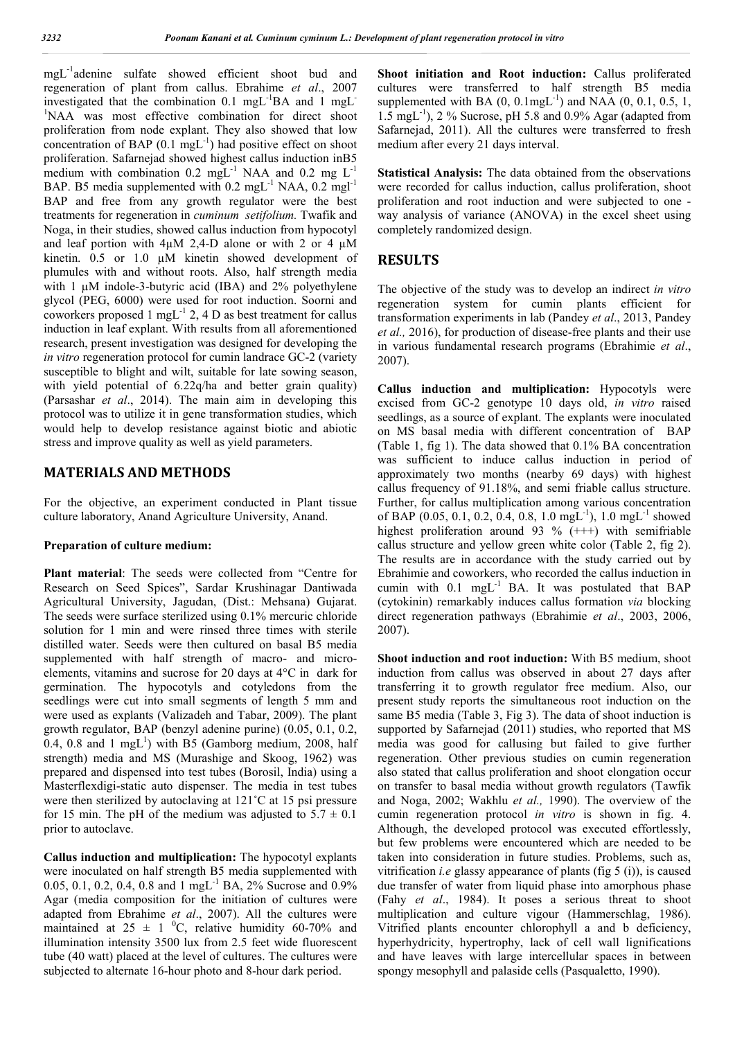mgL-1 adenine sulfate showed efficient shoot bud and regeneration of plant from callus. Ebrahime *et al*., 2007 investigated that the combination 0.1 mgL<sup>-1</sup>BA and 1 mgL<sup>-</sup> <sup>1</sup>NAA was most effective combination for direct shoot proliferation from node explant. They also showed that low concentration of BAP  $(0.1 \text{ mgL}^{-1})$  had positive effect on shoot proliferation. Safarnejad showed highest callus induction inB5 medium with combination  $0.2 \text{ mgL}^{-1}$  NAA and  $0.2 \text{ mgL}^{-1}$ BAP. B5 media supplemented with  $0.2 \text{ mg}L^{-1} \text{ NAA}$ ,  $0.2 \text{ mg}L^{-1}$ BAP and free from any growth regulator were the best treatments for regeneration in *cuminum setifolium.* Twafik and Noga, in their studies, showed callus induction from hypocotyl and leaf portion with  $4\mu$ M 2,4-D alone or with 2 or 4  $\mu$ M kinetin. 0.5 or 1.0 µM kinetin showed development of plumules with and without roots. Also, half strength media with 1  $\mu$ M indole-3-butyric acid (IBA) and 2% polyethylene glycol (PEG, 6000) were used for root induction. Soorni and coworkers proposed 1 mgL $^{-1}$  2, 4 D as best treatment for callus induction in leaf explant. With results from all aforementioned research, present investigation was designed for developing the *in vitro* regeneration protocol for cumin landrace GC-2 (variety susceptible to blight and wilt, suitable for late sowing season, with yield potential of 6.22q/ha and better grain quality) (Parsashar *et al*., 2014). The main aim in developing this protocol was to utilize it in gene transformation studies, which would help to develop resistance against biotic and abiotic stress and improve quality as well as yield parameters.

# **MATERIALS AND METHODS**

For the objective, an experiment conducted in Plant tissue culture laboratory, Anand Agriculture University, Anand.

#### **Preparation of culture medium:**

**Plant material**: The seeds were collected from "Centre for Research on Seed Spices", Sardar Krushinagar Dantiwada Agricultural University, Jagudan, (Dist.: Mehsana) Gujarat. The seeds were surface sterilized using 0.1% mercuric chloride solution for 1 min and were rinsed three times with sterile distilled water. Seeds were then cultured on basal B5 media supplemented with half strength of macro- and microelements, vitamins and sucrose for 20 days at 4°C in dark for germination. The hypocotyls and cotyledons from the seedlings were cut into small segments of length 5 mm and were used as explants (Valizadeh and Tabar, 2009). The plant growth regulator, BAP (benzyl adenine purine) (0.05, 0.1, 0.2,  $0.4$ ,  $0.8$  and 1 mgL<sup>1</sup>) with B5 (Gamborg medium, 2008, half strength) media and MS (Murashige and Skoog, 1962) was prepared and dispensed into test tubes (Borosil, India) using a Masterflexdigi-static auto dispenser. The media in test tubes were then sterilized by autoclaving at 121˚C at 15 psi pressure for 15 min. The pH of the medium was adjusted to  $5.7 \pm 0.1$ prior to autoclave.

**Callus induction and multiplication:** The hypocotyl explants were inoculated on half strength B5 media supplemented with 0.05, 0.1, 0.2, 0.4, 0.8 and 1 mg<sub>L</sub><sup>-1</sup> BA, 2% Sucrose and 0.9% Agar (media composition for the initiation of cultures were adapted from Ebrahime *et al*., 2007). All the cultures were maintained at  $25 \pm 1$  °C, relative humidity 60-70% and illumination intensity 3500 lux from 2.5 feet wide fluorescent tube (40 watt) placed at the level of cultures. The cultures were subjected to alternate 16-hour photo and 8-hour dark period.

**Shoot initiation and Root induction:** Callus proliferated cultures were transferred to half strength B5 media supplemented with BA  $(0, 0.1$ mgL<sup>-1</sup>) and NAA  $(0, 0.1, 0.5, 1, 0.5)$ 1.5 mgL-1 ), 2 % Sucrose, pH 5.8 and 0.9% Agar (adapted from Safarnejad, 2011). All the cultures were transferred to fresh medium after every 21 days interval.

**Statistical Analysis:** The data obtained from the observations were recorded for callus induction, callus proliferation, shoot proliferation and root induction and were subjected to one way analysis of variance (ANOVA) in the excel sheet using completely randomized design.

## **RESULTS**

The objective of the study was to develop an indirect *in vitro*  regeneration system for cumin plants efficient for transformation experiments in lab (Pandey *et al*., 2013, Pandey *et al.,* 2016), for production of disease-free plants and their use in various fundamental research programs (Ebrahimie *et al*., 2007).

**Callus induction and multiplication:** Hypocotyls were excised from GC-2 genotype 10 days old, *in vitro* raised seedlings, as a source of explant. The explants were inoculated on MS basal media with different concentration of BAP (Table 1, fig 1). The data showed that 0.1% BA concentration was sufficient to induce callus induction in period of approximately two months (nearby 69 days) with highest callus frequency of 91.18%, and semi friable callus structure. Further, for callus multiplication among various concentration of BAP (0.05, 0.1, 0.2, 0.4, 0.8, 1.0 mgL<sup>-1</sup>), 1.0 mgL<sup>-1</sup> showed highest proliferation around 93 % (+++) with semifriable callus structure and yellow green white color (Table 2, fig 2). The results are in accordance with the study carried out by Ebrahimie and coworkers, who recorded the callus induction in cumin with  $0.1$  mgL $^{-1}$  BA. It was postulated that BAP (cytokinin) remarkably induces callus formation *via* blocking direct regeneration pathways (Ebrahimie *et al*., 2003, 2006, 2007).

**Shoot induction and root induction:** With B5 medium, shoot induction from callus was observed in about 27 days after transferring it to growth regulator free medium. Also, our present study reports the simultaneous root induction on the same B5 media (Table 3, Fig 3). The data of shoot induction is supported by Safarnejad (2011) studies, who reported that MS media was good for callusing but failed to give further regeneration. Other previous studies on cumin regeneration also stated that callus proliferation and shoot elongation occur on transfer to basal media without growth regulators (Tawfik and Noga, 2002; Wakhlu *et al.,* 1990). The overview of the cumin regeneration protocol *in vitro* is shown in fig. 4. Although, the developed protocol was executed effortlessly, but few problems were encountered which are needed to be taken into consideration in future studies. Problems, such as, vitrification *i.e* glassy appearance of plants (fig 5 (i)), is caused due transfer of water from liquid phase into amorphous phase (Fahy *et al*., 1984). It poses a serious threat to shoot multiplication and culture vigour (Hammerschlag, 1986). Vitrified plants encounter chlorophyll a and b deficiency, hyperhydricity, hypertrophy, lack of cell wall lignifications and have leaves with large intercellular spaces in between spongy mesophyll and palaside cells (Pasqualetto, 1990).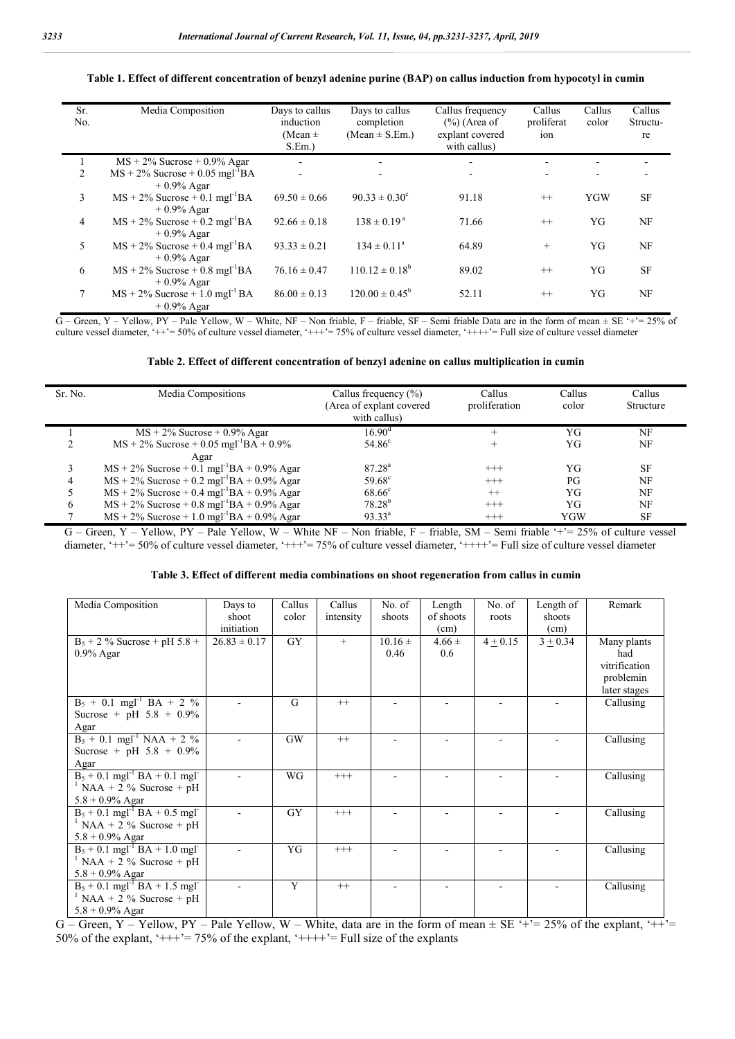| Sr.<br>No. | Media Composition                                                               | Days to callus<br>induction<br>(Mean $\pm$<br>$S.Em.$ ) | Days to callus<br>completion<br>$(Mean \pm S.Em.)$ | Callus frequency<br>$(\%)$ (Area of<br>explant covered<br>with callus) | Callus<br>proliferat<br>ion | Callus<br>color | Callus<br>Structu-<br>re |
|------------|---------------------------------------------------------------------------------|---------------------------------------------------------|----------------------------------------------------|------------------------------------------------------------------------|-----------------------------|-----------------|--------------------------|
|            | $MS + 2\%$ Sucrose + 0.9% Agar                                                  | $\overline{\phantom{a}}$                                |                                                    | ٠                                                                      |                             |                 |                          |
| 2          | $MS + 2\%$ Sucrose + 0.05 mgl <sup>-1</sup> BA                                  | $\overline{\phantom{a}}$                                | $\overline{\phantom{a}}$                           | $\overline{\phantom{0}}$                                               |                             |                 |                          |
|            | $+0.9\%$ Agar                                                                   |                                                         |                                                    |                                                                        |                             |                 |                          |
| 3          | $MS + 2\%$ Sucrose + 0.1 mgl <sup>-1</sup> BA<br>$+0.9\%$ Agar                  | $69.50 \pm 0.66$                                        | $90.33 \pm 0.30^{\circ}$                           | 91.18                                                                  | $++$                        | <b>YGW</b>      | <b>SF</b>                |
| 4          | $MS + 2\%$ Sucrose + 0.2 mgl <sup>-1</sup> BA<br>$+0.9\%$ Agar                  | $92.66 \pm 0.18$                                        | $138 \pm 0.19^{\text{a}}$                          | 71.66                                                                  | $++$                        | YG              | NF                       |
| 5          | $MS + 2\%$ Sucrose + 0.4 mgl <sup>-1</sup> BA                                   | $93.33 \pm 0.21$                                        | $134 \pm 0.11^a$                                   | 64.89                                                                  | $+$                         | YG              | NF                       |
| 6          | $+0.9\%$ Agar<br>$MS + 2\%$ Sucrose + 0.8 mgl <sup>-1</sup> BA<br>$+0.9\%$ Agar | $76.16 \pm 0.47$                                        | $110.12 \pm 0.18^b$                                | 89.02                                                                  | $^{++}$                     | YG              | <b>SF</b>                |
| 7          | $MS + 2\%$ Sucrose + 1.0 mgl <sup>-1</sup> BA<br>$+0.9%$ Agar                   | $86.00 \pm 0.13$                                        | $120.00 \pm 0.45^b$                                | 52.11                                                                  | $^{++}$                     | YG              | NF                       |

#### **Table 1. Effect of different concentration of benzyl adenine purine (BAP) on callus induction from hypocotyl in cumin**

 $G$  – Green, Y – Yellow, PY – Pale Yellow, W – White, NF – Non friable, F – friable, SF – Semi friable Data are in the form of mean  $\pm$  SE '+'= 25% of culture vessel diameter, '++'= 50% of culture vessel diameter, '+++'= 75% of culture vessel diameter, '++++'= Full size of culture vessel diameter

|  | Table 2. Effect of different concentration of benzyl adenine on callus multiplication in cumin |  |  |  |
|--|------------------------------------------------------------------------------------------------|--|--|--|
|  |                                                                                                |  |  |  |

| Sr. No. | Media Compositions                                        | Callus frequency $(\% )$<br>(Area of explant covered<br>with callus) | Callus<br>proliferation | Callus<br>color | Callus<br>Structure |
|---------|-----------------------------------------------------------|----------------------------------------------------------------------|-------------------------|-----------------|---------------------|
|         | $MS + 2\%$ Sucrose + 0.9% Agar                            | $16.90^{\rm d}$                                                      |                         | YG              | NF                  |
|         | $MS + 2\%$ Sucrose + 0.05 mgl <sup>-1</sup> BA + 0.9%     | $54.86^{\circ}$                                                      |                         | YG              | NF                  |
|         | Agar                                                      |                                                                      |                         |                 |                     |
| 3       | $MS + 2\%$ Sucrose + 0.1 mgl <sup>-1</sup> BA + 0.9% Agar | $87.28^{a}$                                                          | $^{+++}$                | YG              | <b>SF</b>           |
| 4       | $MS + 2\%$ Sucrose + 0.2 mgl <sup>-1</sup> BA + 0.9% Agar | $59.68^{\circ}$                                                      | $^{+++}$                | PG              | NF                  |
|         | $MS + 2\%$ Sucrose + 0.4 mgl <sup>-1</sup> BA + 0.9% Agar | $68.66^{\circ}$                                                      | $^{++}$                 | YG              | NF                  |
| 6       | $MS + 2\%$ Sucrose + 0.8 mgl <sup>-1</sup> BA + 0.9% Agar | $78.28^{b}$                                                          | $^{+++}$                | YG              | NF                  |
|         | $MS + 2\%$ Sucrose + 1.0 mgl <sup>-1</sup> BA + 0.9% Agar | $93.33^{a}$                                                          | $^{+++}$                | YGW             | <b>SF</b>           |

G – Green, Y – Yellow, PY – Pale Yellow, W – White NF – Non friable, F – friable, SM – Semi friable '+'= 25% of culture vessel diameter, '++'= 50% of culture vessel diameter, '+++'= 75% of culture vessel diameter, '++++'= Full size of culture vessel diameter

| Media Composition                                        | Days to          | Callus    | Callus    | No. of      | Length     | No. of     | Length of  | Remark        |
|----------------------------------------------------------|------------------|-----------|-----------|-------------|------------|------------|------------|---------------|
|                                                          | shoot            | color     | intensity | shoots      | of shoots  | roots      | shoots     |               |
|                                                          | initiation       |           |           |             | (cm)       |            | (cm)       |               |
| $B_5 + 2 \%$ Sucrose + pH 5.8 +                          | $26.83 \pm 0.17$ | GY        | $+$       | $10.16 \pm$ | $4.66 \pm$ | $4 + 0.15$ | $3 + 0.34$ | Many plants   |
| $0.9\%$ Agar                                             |                  |           |           | 0.46        | 0.6        |            |            | had           |
|                                                          |                  |           |           |             |            |            |            | vitrification |
|                                                          |                  |           |           |             |            |            |            | problemin     |
|                                                          |                  |           |           |             |            |            |            | later stages  |
| $B_5 + 0.1$ mgl <sup>-1</sup> BA + 2 %                   |                  | G         | $++$      |             |            |            |            | Callusing     |
| Sucrose + pH $5.8 + 0.9\%$                               |                  |           |           |             |            |            |            |               |
| Agar                                                     |                  |           |           |             |            |            |            |               |
| $B_5 + 0.1$ mgl <sup>-1</sup> NAA + 2 %                  |                  | <b>GW</b> | $^{++}$   |             |            |            |            | Callusing     |
| Sucrose + pH $5.8 + 0.9\%$                               |                  |           |           |             |            |            |            |               |
| Agar                                                     |                  |           |           |             |            |            |            |               |
| $B_5 + 0.1$ mgl <sup>-1</sup> BA + 0.1 mgl <sup>-1</sup> |                  | WG        | $^{+++}$  |             | ٠          |            |            | Callusing     |
| $\frac{1}{1}$ NAA + 2 % Sucrose + pH                     |                  |           |           |             |            |            |            |               |
| $5.8 + 0.9\%$ Agar                                       |                  |           |           |             |            |            |            |               |
| $B_5 + 0.1$ mgl <sup>-1</sup> BA + 0.5 mgl <sup>-1</sup> |                  | <b>GY</b> | $^{+++}$  |             |            |            |            | Callusing     |
| $\frac{1}{1}$ NAA + 2 % Sucrose + pH                     |                  |           |           |             |            |            |            |               |
| $5.8 + 0.9\%$ Agar                                       |                  |           |           |             |            |            |            |               |
| $B_5 + 0.1$ mgl <sup>-1</sup> BA + 1.0 mgl <sup>-1</sup> |                  | YG        | $^{+++}$  |             |            |            |            | Callusing     |
| $\frac{1}{2}$ NAA + 2 % Sucrose + pH                     |                  |           |           |             |            |            |            |               |
| $5.8 + 0.9\%$ Agar                                       |                  |           |           |             |            |            |            |               |
| $B_5 + 0.1$ mgl <sup>-1</sup> BA + 1.5 mgl <sup>-1</sup> |                  | Y         | $++$      |             |            |            |            | Callusing     |
| $\frac{1}{1}$ NAA + 2 % Sucrose + pH                     |                  |           |           |             |            |            |            |               |
| $5.8 + 0.9\%$ Agar                                       |                  |           |           |             |            |            |            |               |

G – Green, Y – Yellow, PY – Pale Yellow, W – White, data are in the form of mean  $\pm$  SE '+'= 25% of the explant, '++'= 50% of the explant, ' $+++$ '= 75% of the explant, ' $+++$ '= Full size of the explants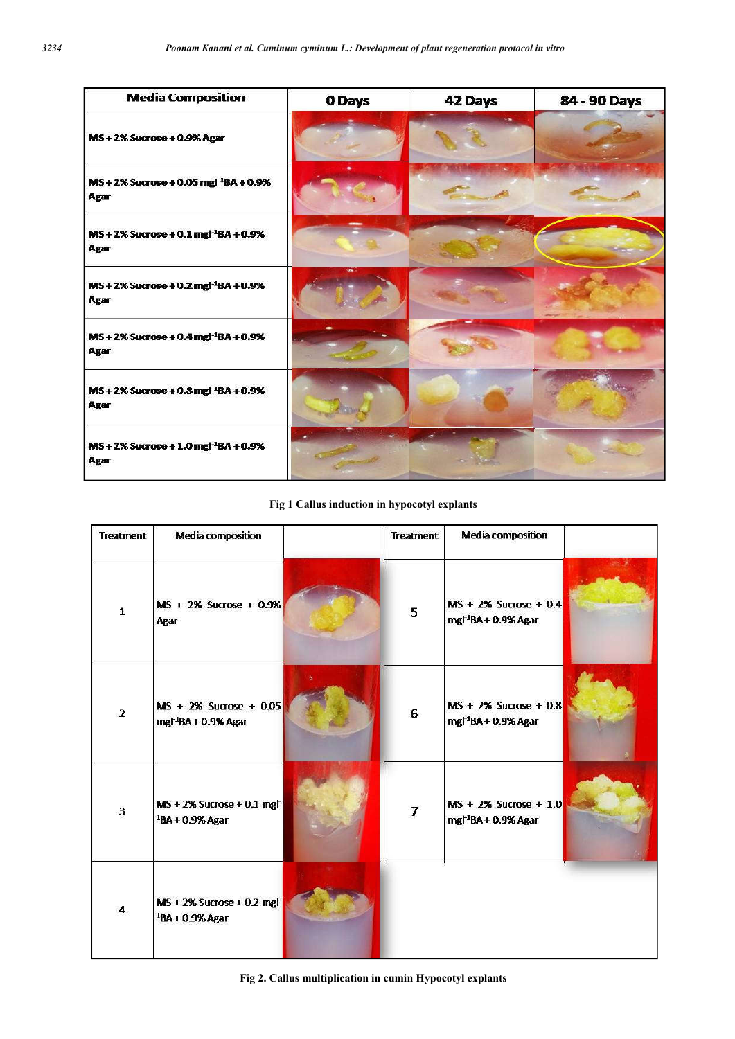| <b>Media Composition</b>                                          | 0 Days | 42 Days | 84 - 90 Days |
|-------------------------------------------------------------------|--------|---------|--------------|
| MS+2% Sucrose + 0.9% Agar                                         |        |         |              |
| MS + 2% Sucrose + 0.05 mgl <sup>-1</sup> BA + 0.9%<br><b>Agar</b> |        |         |              |
| MS + 2% Sucrose + 0.1 mgl <sup>-1</sup> BA + 0.9%<br>Agar         |        |         |              |
| $MS + 2\%$ Sucrose + 0.2 mgl <sup>-1</sup> BA + 0.9%<br>Agar      |        |         |              |
| MS+2% Sucrose + 0.4 mgl <sup>-1</sup> BA + 0.9%<br>Agar           |        |         |              |
| MS + 2% Sucrose + 0.8 mgl <sup>-1</sup> BA + 0.9%<br>Agar         |        |         |              |
| MS + 2% Sucrose + 1.0 mgl <sup>-1</sup> BA + 0.9%<br>Agar         |        |         |              |

# **Fig 1 Callus induction in hypocotyl explants**

| <b>Treatment</b> | <b>Media composition</b>                                              | <b>Treatment</b> | <b>Media composition</b>                                     |  |
|------------------|-----------------------------------------------------------------------|------------------|--------------------------------------------------------------|--|
| 1                | MS + 2% Sucrose + 0.9%<br>Agar                                        | 5                | $MS + 2\%$ Sucrose + 0.4<br>mgl <sup>-1</sup> BA + 0.9% Agar |  |
| $\overline{2}$   | $MS + 2\%$ Sucrose + 0.05<br>mgl <sup>-1</sup> BA + 0.9% Agar         | 6                | $MS + 2\%$ Sucrose + 0.8<br>mgl <sup>-1</sup> BA + 0.9% Agar |  |
| 3                | $MS + 2\%$ Sucrose + 0.1 mgh<br><sup>1</sup> BA + 0.9% Agar           | $\overline{I}$   | $MS + 2\%$ Sucrose + 1.0<br>mgl <sup>-1</sup> BA + 0.9% Agar |  |
| 4                | $MS + 2\%$ Sucrose + 0.2 mg $\uparrow$<br><sup>1</sup> BA + 0.9% Agar |                  |                                                              |  |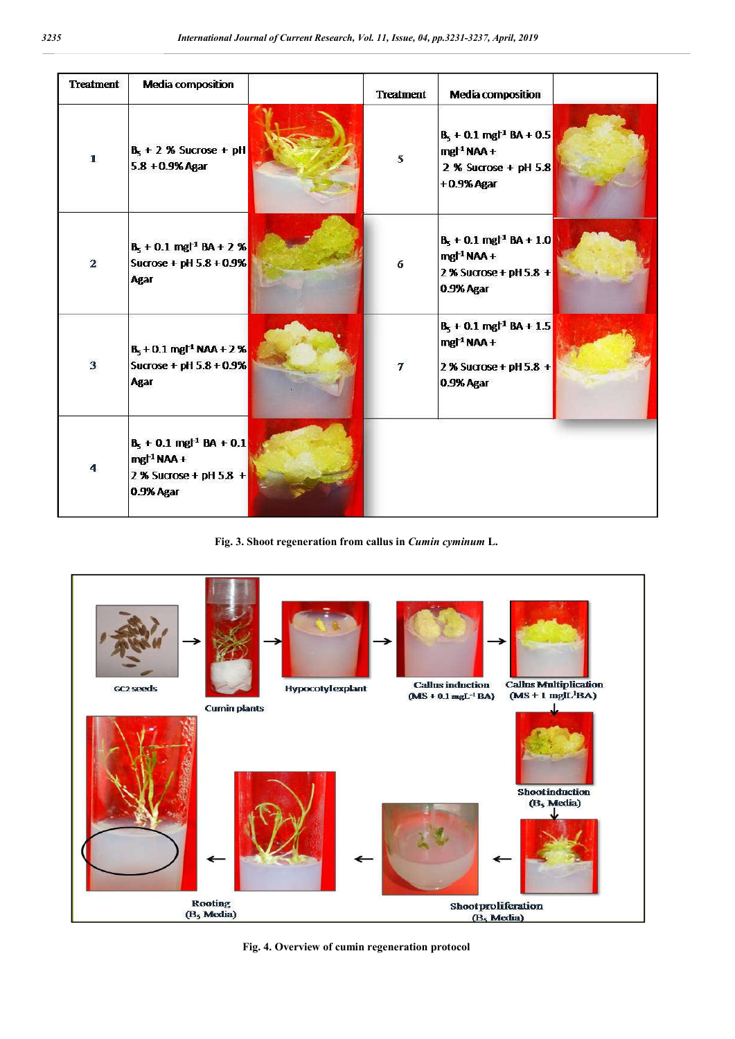| <b>Treatment</b>        | <b>Media composition</b>                                                                         | <b>Treatment</b> | <b>Media composition</b>                                                                |  |
|-------------------------|--------------------------------------------------------------------------------------------------|------------------|-----------------------------------------------------------------------------------------|--|
| $\mathbf{1}$            | $B_5 + 2$ % Sucrose + pH<br>$5.8 + 0.9%$ Agar                                                    | 5                | $B_5 + 0.1$ mg $1 + 0.5$<br>mgl <sup>1</sup> NAA+<br>2 % Sucrose + pH 5.8<br>+0.9% Agar |  |
| $\overline{2}$          | $B_5 + 0.1$ mgl <sup>-1</sup> BA + 2 %<br>Sucrose + pH 5.8 + 0.9%<br><b>Agar</b>                 | 6                | $B_5 + 0.1$ mg $^{-1}$ BA + 1.0<br>$mgl1 NAA +$<br>2 % Sucrose + pH 5.8 +<br>0.9% Agar  |  |
| $\overline{\mathbf{3}}$ | $B_5 + 0.1$ mg <sup><math>+1</math></sup> NAA + 2 %<br>Sucrose + pH $5.8 + 0.9\%$<br><b>Agar</b> | $\overline{7}$   | $B_5 + 0.1$ mg $H^1$ BA + 1.5<br>$mg1 NAA +$<br>2 % Sucrose + pH 5.8 +<br>0.9% Agar     |  |
| $\overline{\mathbf{A}}$ | $B_5 + 0.1$ mg $^{-1}$ BA + 0.1<br>mgl <sup>1</sup> NAA +<br>2 % Sucrose + pH 5.8 +<br>0.9% Agar |                  |                                                                                         |  |

**Fig. 3. Shoot regeneration from callus in** *Cumin cyminum* **L.**



**Fig. 4. Overview of cumin regeneration protocol**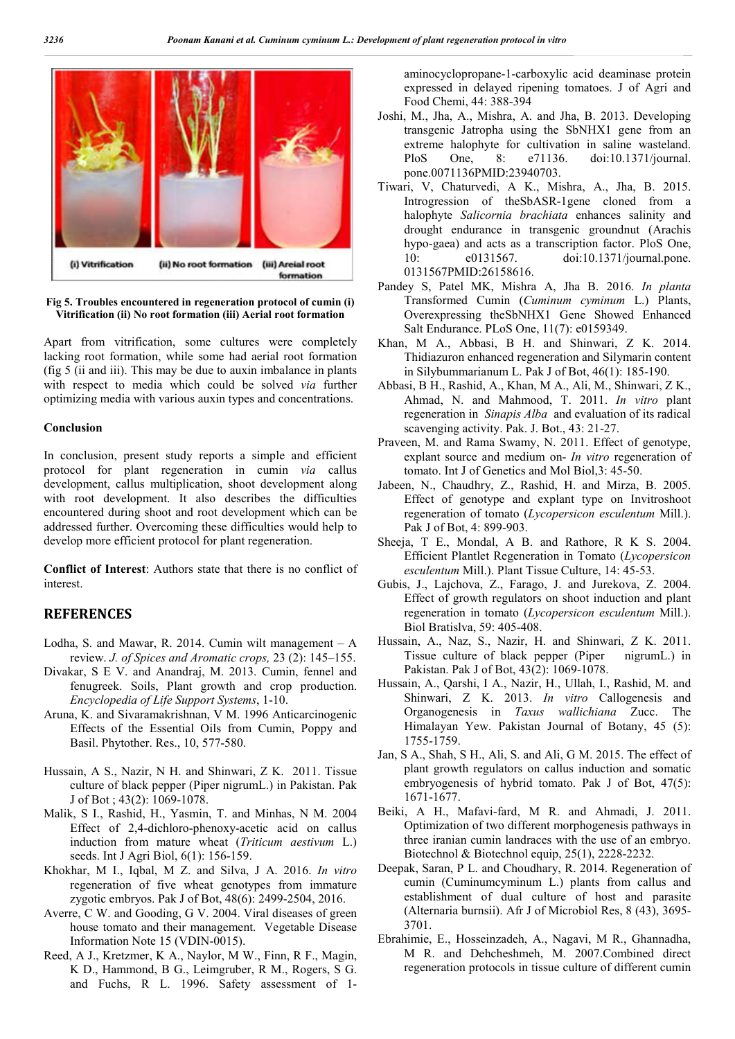

# **Fig 5. Troubles encountered in regeneration protocol of cumin (i) Vitrification (ii) No root formation (iii) Aerial root formation**

Apart from vitrification, some cultures were completely lacking root formation, while some had aerial root formation (fig 5 (ii and iii). This may be due to auxin imbalance in plants with respect to media which could be solved *via* further optimizing media with various auxin types and concentrations.

## **Conclusion**

In conclusion, present study reports a simple and efficient protocol for plant regeneration in cumin *via* callus development, callus multiplication, shoot development along with root development. It also describes the difficulties encountered during shoot and root development which can be addressed further. Overcoming these difficulties would help to develop more efficient protocol for plant regeneration.

**Conflict of Interest**: Authors state that there is no conflict of interest.

# **REFERENCES**

- Lodha, S. and Mawar, R. 2014. Cumin wilt management  $A$ review. *J. of Spices and Aromatic crops,* 23 (2): 145–155.
- Divakar, S E V. and Anandraj, M. 2013. Cumin, fennel and fenugreek. Soils, Plant growth and crop production. *Encyclopedia of Life Support Systems*, 1-10.
- Aruna, K. and Sivaramakrishnan, V M. 1996 Anticarcinogenic Effects of the Essential Oils from Cumin, Poppy and Basil. Phytother. Res., 10, 577-580.
- Hussain, A S., Nazir, N H. and Shinwari, Z K. 2011. Tissue culture of black pepper (Piper nigrumL.) in Pakistan. Pak J of Bot ; 43(2): 1069-1078.
- Malik, S I., Rashid, H., Yasmin, T. and Minhas, N M. 2004 Effect of 2,4-dichloro-phenoxy-acetic acid on callus induction from mature wheat (*Triticum aestivum* L.) seeds. Int J Agri Biol, 6(1): 156-159.
- Khokhar, M I., Iqbal, M Z. and Silva, J A. 2016. *In vitro* regeneration of five wheat genotypes from immature zygotic embryos. Pak J of Bot, 48(6): 2499-2504, 2016.
- Averre, C W. and Gooding, G V. 2004. Viral diseases of green house tomato and their management. Vegetable Disease Information Note 15 (VDIN-0015).
- Reed, A J., Kretzmer, K A., Naylor, M W., Finn, R F., Magin, K D., Hammond, B G., Leimgruber, R M., Rogers, S G. and Fuchs, R L. 1996. Safety assessment of 1-

aminocyclopropane-1-carboxylic acid deaminase protein expressed in delayed ripening tomatoes. J of Agri and Food Chemi, 44: 388-394

- Joshi, M., Jha, A., Mishra, A. and Jha, B. 2013. Developing transgenic Jatropha using the SbNHX1 gene from an extreme halophyte for cultivation in saline wasteland. PloS One, 8: e71136. doi:10.1371/journal. pone.0071136PMID:23940703.
- Tiwari, V, Chaturvedi, A K., Mishra, A., Jha, B. 2015. Introgression of theSbASR-1gene cloned from a halophyte *Salicornia brachiata* enhances salinity and drought endurance in transgenic groundnut (Arachis hypo-gaea) and acts as a transcription factor. PloS One, 10: e0131567. doi:10.1371/journal.pone. 0131567PMID:26158616.
- Pandey S, Patel MK, Mishra A, Jha B. 2016. *In planta* Transformed Cumin (*Cuminum cyminum* L.) Plants, Overexpressing theSbNHX1 Gene Showed Enhanced Salt Endurance. PLoS One, 11(7): e0159349.
- Khan, M A., Abbasi, B H. and Shinwari, Z K. 2014. Thidiazuron enhanced regeneration and Silymarin content in Silybummarianum L. Pak J of Bot, 46(1): 185-190.
- Abbasi, B H., Rashid, A., Khan, M A., Ali, M., Shinwari, Z K., Ahmad, N. and Mahmood, T. 2011. *In vitro* plant regeneration in *Sinapis Alba* and evaluation of its radical scavenging activity. Pak. J. Bot., 43: 21-27.
- Praveen, M. and Rama Swamy, N. 2011. Effect of genotype, explant source and medium on- *In vitro* regeneration of tomato. Int J of Genetics and Mol Biol,3: 45-50.
- Jabeen, N., Chaudhry, Z., Rashid, H. and Mirza, B. 2005. Effect of genotype and explant type on Invitroshoot regeneration of tomato (*Lycopersicon esculentum* Mill.). Pak J of Bot, 4: 899-903.
- Sheeja, T E., Mondal, A B. and Rathore, R K S. 2004. Efficient Plantlet Regeneration in Tomato (*Lycopersicon esculentum* Mill.). Plant Tissue Culture, 14: 45-53.
- Gubis, J., Lajchova, Z., Farago, J. and Jurekova, Z. 2004. Effect of growth regulators on shoot induction and plant regeneration in tomato (*Lycopersicon esculentum* Mill.). Biol Bratislva, 59: 405-408.
- Hussain, A., Naz, S., Nazir, H. and Shinwari, Z K. 2011. Tissue culture of black pepper (Piper nigrumL.) in Pakistan. Pak J of Bot, 43(2): 1069-1078.
- Hussain, A., Qarshi, I A., Nazir, H., Ullah, I., Rashid, M. and Shinwari, Z K. 2013. *In vitro* Callogenesis and Organogenesis in *Taxus wallichiana* Zucc. The Himalayan Yew. Pakistan Journal of Botany, 45 (5): 1755-1759.
- Jan, S A., Shah, S H., Ali, S. and Ali, G M. 2015. The effect of plant growth regulators on callus induction and somatic embryogenesis of hybrid tomato. Pak J of Bot, 47(5): 1671-1677.
- Beiki, A H., Mafavi-fard, M R. and Ahmadi, J. 2011. Optimization of two different morphogenesis pathways in three iranian cumin landraces with the use of an embryo. Biotechnol & Biotechnol equip, 25(1), 2228-2232.
- Deepak, Saran, P L. and Choudhary, R. 2014. Regeneration of cumin (Cuminumcyminum L.) plants from callus and establishment of dual culture of host and parasite (Alternaria burnsii). Afr J of Microbiol Res, 8 (43), 3695- 3701.
- Ebrahimie, E., Hosseinzadeh, A., Nagavi, M R., Ghannadha, M R. and Dehcheshmeh, M. 2007.Combined direct regeneration protocols in tissue culture of different cumin